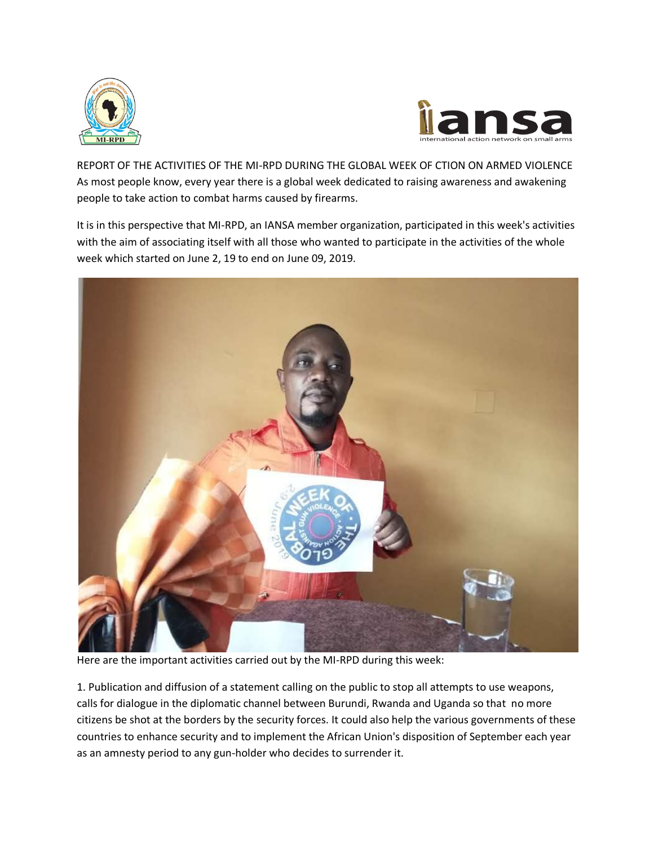



REPORT OF THE ACTIVITIES OF THE MI-RPD DURING THE GLOBAL WEEK OF CTION ON ARMED VIOLENCE As most people know, every year there is a global week dedicated to raising awareness and awakening people to take action to combat harms caused by firearms.

It is in this perspective that MI-RPD, an IANSA member organization, participated in this week's activities with the aim of associating itself with all those who wanted to participate in the activities of the whole week which started on June 2, 19 to end on June 09, 2019.



Here are the important activities carried out by the MI-RPD during this week:

1. Publication and diffusion of a statement calling on the public to stop all attempts to use weapons, calls for dialogue in the diplomatic channel between Burundi, Rwanda and Uganda so that no more citizens be shot at the borders by the security forces. It could also help the various governments of these countries to enhance security and to implement the African Union's disposition of September each year as an amnesty period to any gun-holder who decides to surrender it.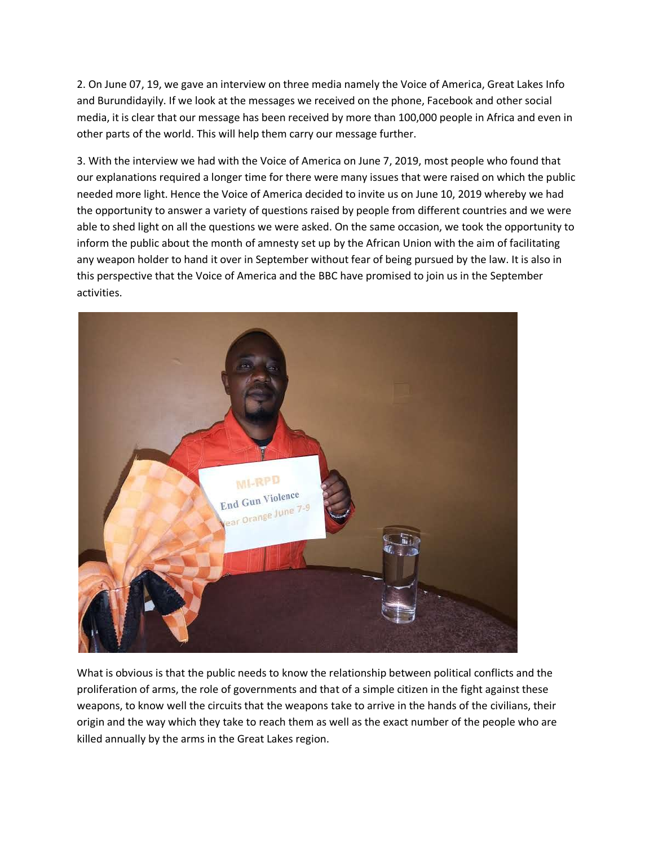2. On June 07, 19, we gave an interview on three media namely the Voice of America, Great Lakes Info and Burundidayily. If we look at the messages we received on the phone, Facebook and other social media, it is clear that our message has been received by more than 100,000 people in Africa and even in other parts of the world. This will help them carry our message further.

3. With the interview we had with the Voice of America on June 7, 2019, most people who found that our explanations required a longer time for there were many issues that were raised on which the public needed more light. Hence the Voice of America decided to invite us on June 10, 2019 whereby we had the opportunity to answer a variety of questions raised by people from different countries and we were able to shed light on all the questions we were asked. On the same occasion, we took the opportunity to inform the public about the month of amnesty set up by the African Union with the aim of facilitating any weapon holder to hand it over in September without fear of being pursued by the law. It is also in this perspective that the Voice of America and the BBC have promised to join us in the September activities.



What is obvious is that the public needs to know the relationship between political conflicts and the proliferation of arms, the role of governments and that of a simple citizen in the fight against these weapons, to know well the circuits that the weapons take to arrive in the hands of the civilians, their origin and the way which they take to reach them as well as the exact number of the people who are killed annually by the arms in the Great Lakes region.